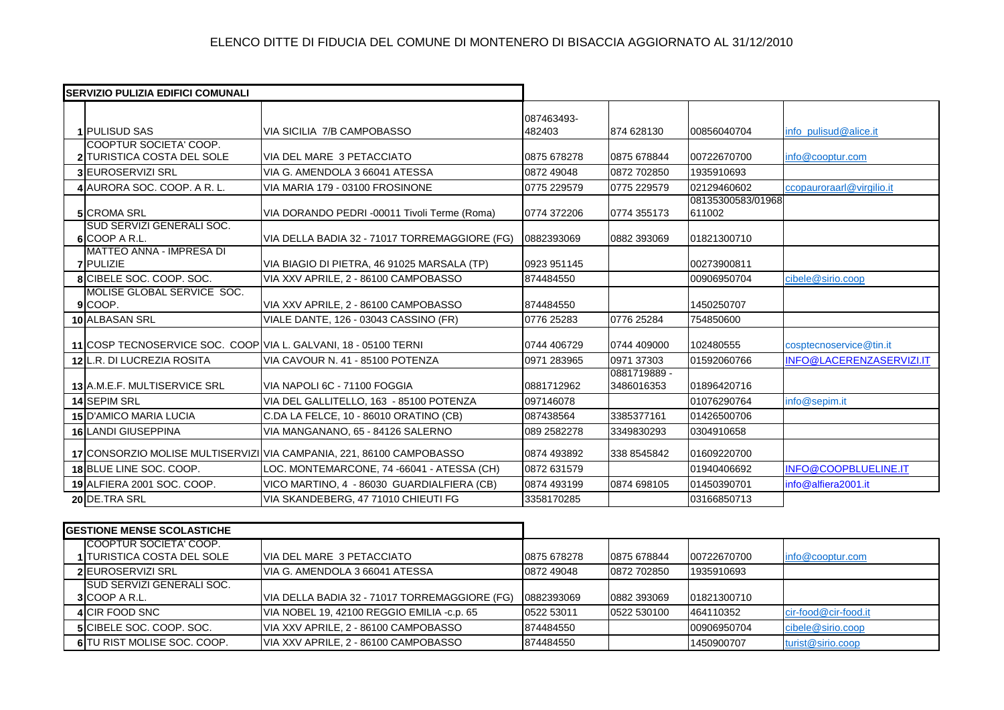| <b>ISERVIZIO PULIZIA EDIFICI COMUNALI</b> |                                                                 |                                                                      |                      |                            |                             |                           |
|-------------------------------------------|-----------------------------------------------------------------|----------------------------------------------------------------------|----------------------|----------------------------|-----------------------------|---------------------------|
|                                           | <b>1 PULISUD SAS</b>                                            | <b>VIA SICILIA 7/B CAMPOBASSO</b>                                    | 087463493-<br>482403 | 874 628130                 | 00856040704                 | info_pulisud@alice.it     |
|                                           | COOPTUR SOCIETA' COOP.<br>2 TURISTICA COSTA DEL SOLE            | VIA DEL MARE 3 PETACCIATO                                            | 0875 678278          | 0875 678844                | 00722670700                 | info@cooptur.com          |
|                                           | <b>3 EUROSERVIZI SRL</b>                                        | VIA G. AMENDOLA 3 66041 ATESSA                                       | 0872 49048           | 0872 702850                | 1935910693                  |                           |
|                                           | 4 AURORA SOC. COOP. A R. L.                                     | VIA MARIA 179 - 03100 FROSINONE                                      | 0775 229579          | 0775 229579                | 02129460602                 | ccopauroraarl@virgilio.it |
|                                           | <b>5</b> CROMA SRL                                              | VIA DORANDO PEDRI-00011 Tivoli Terme (Roma)                          | 0774 372206          | 0774 355173                | 08135300583/01968<br>611002 |                           |
|                                           | SUD SERVIZI GENERALI SOC.<br>6 COOP A R.L.                      | VIA DELLA BADIA 32 - 71017 TORREMAGGIORE (FG)                        | 0882393069           | 0882 393069                | 01821300710                 |                           |
|                                           | <b>MATTEO ANNA - IMPRESA DI</b><br><b>7 PULIZIE</b>             | VIA BIAGIO DI PIETRA, 46 91025 MARSALA (TP)                          | 0923 951145          |                            | 00273900811                 |                           |
|                                           | <b>8</b> CIBELE SOC. COOP. SOC.                                 | VIA XXV APRILE, 2 - 86100 CAMPOBASSO                                 | 874484550            |                            | 00906950704                 | cibele@sirio.coop         |
|                                           | MOLISE GLOBAL SERVICE SOC.<br>9COOP.                            | VIA XXV APRILE, 2 - 86100 CAMPOBASSO                                 | 874484550            |                            | 1450250707                  |                           |
|                                           | 10 ALBASAN SRL                                                  | VIALE DANTE, 126 - 03043 CASSINO (FR)                                | 0776 25283           | 0776 25284                 | 754850600                   |                           |
|                                           | 11 COSP TECNOSERVICE SOC. COOP VIA L. GALVANI, 18 - 05100 TERNI |                                                                      | 0744 406729          | 0744 409000                | 102480555                   | cosptecnoservice@tin.it   |
|                                           | 12 L.R. DI LUCREZIA ROSITA                                      | VIA CAVOUR N. 41 - 85100 POTENZA                                     | 0971 283965          | 0971 37303                 | 01592060766                 | INFO@LACERENZASERVIZI.IT  |
|                                           | 13 A.M.E.F. MULTISERVICE SRL                                    | VIA NAPOLI 6C - 71100 FOGGIA                                         | 0881712962           | 0881719889 -<br>3486016353 | 01896420716                 |                           |
|                                           | 14 SEPIM SRL                                                    | VIA DEL GALLITELLO, 163 - 85100 POTENZA                              | 097146078            |                            | 01076290764                 | info@sepim.it             |
|                                           | 15 D'AMICO MARIA LUCIA                                          | C.DA LA FELCE, 10 - 86010 ORATINO (CB)                               | 087438564            | 3385377161                 | 01426500706                 |                           |
|                                           | 16 LANDI GIUSEPPINA                                             | VIA MANGANANO, 65 - 84126 SALERNO                                    | 089 2582278          | 3349830293                 | 0304910658                  |                           |
|                                           |                                                                 | 17 CONSORZIO MOLISE MULTISERVIZI VIA CAMPANIA, 221, 86100 CAMPOBASSO | 0874 493892          | 338 8545842                | 01609220700                 |                           |
|                                           | 18 BLUE LINE SOC. COOP.                                         | LOC. MONTEMARCONE, 74 -66041 - ATESSA (CH)                           | 0872 631579          |                            | 01940406692                 | INFO@COOPBLUELINE.IT      |
|                                           | 19 ALFIERA 2001 SOC. COOP.                                      | VICO MARTINO, 4 - 86030 GUARDIALFIERA (CB)                           | 0874 493199          | 0874 698105                | 01450390701                 | info@alfiera2001.it       |
|                                           | 20 DE.TRA SRL                                                   | VIA SKANDEBERG, 47 71010 CHIEUTI FG                                  | 3358170285           |                            | 03166850713                 |                           |

| <b>GESTIONE MENSE SCOLASTICHE</b> |                                 |                                               |             |             |             |                      |
|-----------------------------------|---------------------------------|-----------------------------------------------|-------------|-------------|-------------|----------------------|
|                                   | COOPTUR SOCIETA' COOP.          |                                               |             |             |             |                      |
|                                   | 1 TURISTICA COSTA DEL SOLE      | VIA DEL MARE 3 PETACCIATO                     | 0875 678278 | 0875 678844 | 00722670700 | info@cooptur.com     |
|                                   | 2 EUROSERVIZI SRL               | VIA G. AMENDOLA 3 66041 ATESSA                | 0872 49048  | 0872 702850 | 1935910693  |                      |
|                                   | ISUD SERVIZI GENERALI SOC.      |                                               |             |             |             |                      |
|                                   | 3 COOP A R.L.                   | VIA DELLA BADIA 32 - 71017 TORREMAGGIORE (FG) | 0882393069  | 0882 393069 | 01821300710 |                      |
|                                   | 4 CIR FOOD SNC                  | VIA NOBEL 19, 42100 REGGIO EMILIA -c.p. 65    | 0522 53011  | 0522 530100 | 464110352   | cir-food@cir-food.it |
|                                   | <b>5</b> CIBELE SOC. COOP. SOC. | VIA XXV APRILE, 2 - 86100 CAMPOBASSO          | 874484550   |             | 00906950704 | cibele@sirio.coop    |
|                                   | 6 TU RIST MOLISE SOC. COOP.     | VIA XXV APRILE, 2 - 86100 CAMPOBASSO          | 874484550   |             | 1450900707  | turist@sirio.coop    |